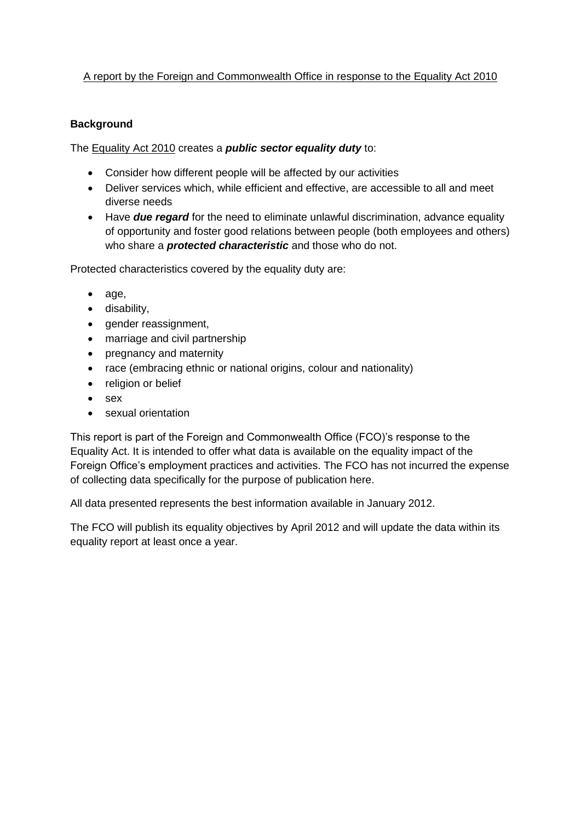# A report by the Foreign and Commonwealth Office in response to the Equality Act 2010

## **Background**

The Equality Act 2010 creates a *public sector equality duty* to:

- Consider how different people will be affected by our activities
- Deliver services which, while efficient and effective, are accessible to all and meet diverse needs
- Have **due regard** for the need to eliminate unlawful discrimination, advance equality of opportunity and foster good relations between people (both employees and others) who share a *protected characteristic* and those who do not.

Protected characteristics covered by the equality duty are:

- $\bullet$  age,
- disability.
- gender reassignment,
- marriage and civil partnership
- pregnancy and maternity
- race (embracing ethnic or national origins, colour and nationality)
- religion or belief
- sex
- sexual orientation

This report is part of the Foreign and Commonwealth Office (FCO)'s response to the Equality Act. It is intended to offer what data is available on the equality impact of the Foreign Office's employment practices and activities. The FCO has not incurred the expense of collecting data specifically for the purpose of publication here.

All data presented represents the best information available in January 2012.

The FCO will publish its equality objectives by April 2012 and will update the data within its equality report at least once a year.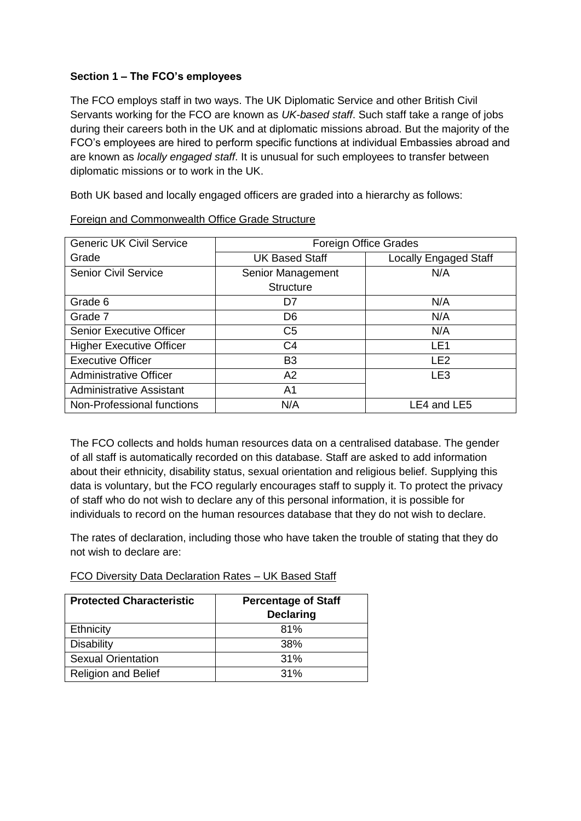### **Section 1 – The FCO's employees**

The FCO employs staff in two ways. The UK Diplomatic Service and other British Civil Servants working for the FCO are known as *UK-based staff*. Such staff take a range of jobs during their careers both in the UK and at diplomatic missions abroad. But the majority of the FCO's employees are hired to perform specific functions at individual Embassies abroad and are known as *locally engaged staff*. It is unusual for such employees to transfer between diplomatic missions or to work in the UK.

Both UK based and locally engaged officers are graded into a hierarchy as follows:

| <b>Generic UK Civil Service</b> | <b>Foreign Office Grades</b> |                              |  |
|---------------------------------|------------------------------|------------------------------|--|
| Grade                           | <b>UK Based Staff</b>        | <b>Locally Engaged Staff</b> |  |
| <b>Senior Civil Service</b>     | Senior Management            | N/A                          |  |
|                                 | <b>Structure</b>             |                              |  |
| Grade 6                         | D7                           | N/A                          |  |
| Grade 7                         | D <sub>6</sub>               | N/A                          |  |
| <b>Senior Executive Officer</b> | C5                           | N/A                          |  |
| <b>Higher Executive Officer</b> | C4                           | LE <sub>1</sub>              |  |
| <b>Executive Officer</b>        | B <sub>3</sub>               | LE <sub>2</sub>              |  |
| <b>Administrative Officer</b>   | A2                           | LE3                          |  |
| <b>Administrative Assistant</b> | A1                           |                              |  |
| Non-Professional functions      | N/A                          | LE4 and LE5                  |  |

#### Foreign and Commonwealth Office Grade Structure

The FCO collects and holds human resources data on a centralised database. The gender of all staff is automatically recorded on this database. Staff are asked to add information about their ethnicity, disability status, sexual orientation and religious belief. Supplying this data is voluntary, but the FCO regularly encourages staff to supply it. To protect the privacy of staff who do not wish to declare any of this personal information, it is possible for individuals to record on the human resources database that they do not wish to declare.

The rates of declaration, including those who have taken the trouble of stating that they do not wish to declare are:

### FCO Diversity Data Declaration Rates – UK Based Staff

| <b>Protected Characteristic</b> | <b>Percentage of Staff</b><br><b>Declaring</b> |
|---------------------------------|------------------------------------------------|
| Ethnicity                       | 81%                                            |
| <b>Disability</b>               | 38%                                            |
| <b>Sexual Orientation</b>       | 31%                                            |
| <b>Religion and Belief</b>      | 31%                                            |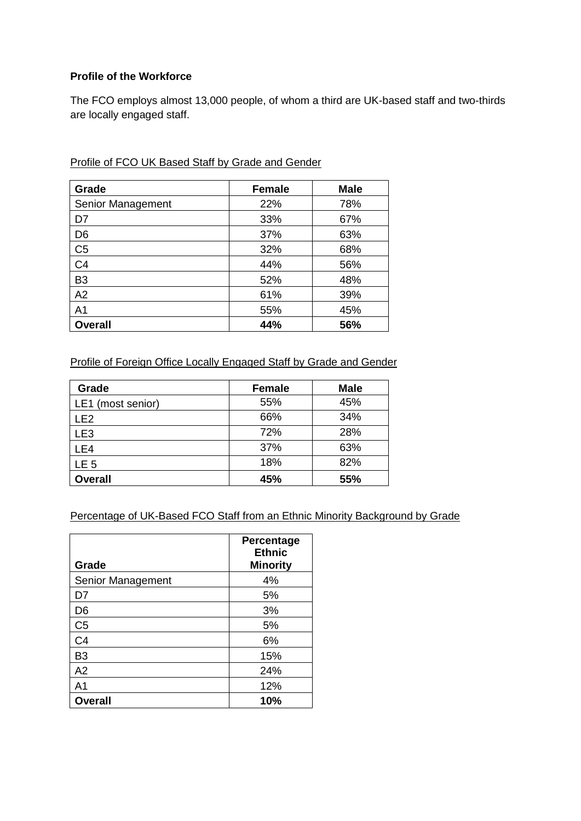## **Profile of the Workforce**

The FCO employs almost 13,000 people, of whom a third are UK-based staff and two-thirds are locally engaged staff.

| Grade             | <b>Female</b> | <b>Male</b> |
|-------------------|---------------|-------------|
| Senior Management | 22%           | 78%         |
| D7                | 33%           | 67%         |
| D <sub>6</sub>    | 37%           | 63%         |
| C <sub>5</sub>    | 32%           | 68%         |
| C <sub>4</sub>    | 44%           | 56%         |
| B <sub>3</sub>    | 52%           | 48%         |
| A2                | 61%           | 39%         |
| A <sub>1</sub>    | 55%           | 45%         |
| <b>Overall</b>    | 44%           | 56%         |

Profile of FCO UK Based Staff by Grade and Gender

# Profile of Foreign Office Locally Engaged Staff by Grade and Gender

| Grade             | <b>Female</b> | <b>Male</b> |
|-------------------|---------------|-------------|
| LE1 (most senior) | 55%           | 45%         |
| LE <sub>2</sub>   | 66%           | 34%         |
| LE <sub>3</sub>   | 72%           | 28%         |
| LE4               | 37%           | 63%         |
| LE <sub>5</sub>   | 18%           | 82%         |
| <b>Overall</b>    | 45%           | 55%         |

#### Percentage of UK-Based FCO Staff from an Ethnic Minority Background by Grade

| Grade             | Percentage<br><b>Ethnic</b><br><b>Minority</b> |
|-------------------|------------------------------------------------|
| Senior Management | 4%                                             |
| D7                | 5%                                             |
| D <sub>6</sub>    | 3%                                             |
| C <sub>5</sub>    | 5%                                             |
| C <sub>4</sub>    | 6%                                             |
| B3                | 15%                                            |
| A2                | 24%                                            |
| A1                | 12%                                            |
| <b>Overall</b>    | 10%                                            |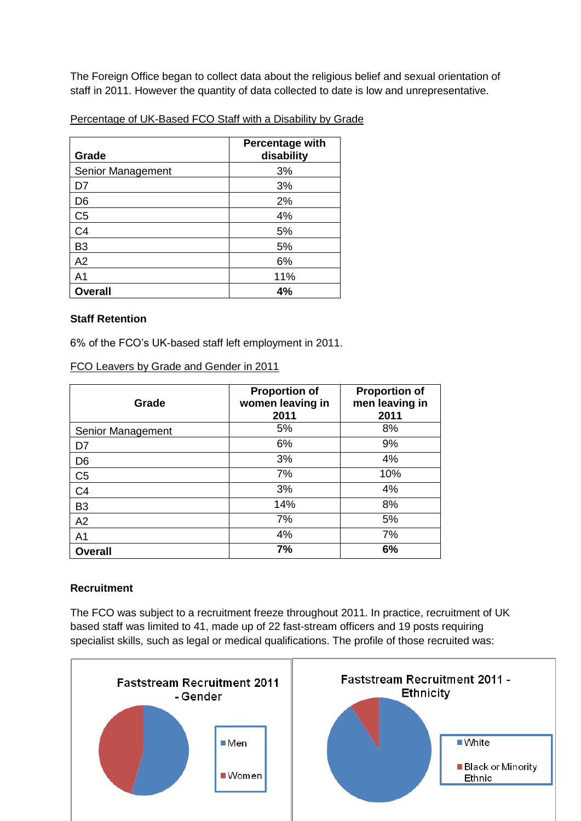The Foreign Office began to collect data about the religious belief and sexual orientation of staff in 2011. However the quantity of data collected to date is low and unrepresentative.

#### Percentage of UK-Based FCO Staff with a Disability by Grade

| Grade             | <b>Percentage with</b><br>disability |
|-------------------|--------------------------------------|
| Senior Management | 3%                                   |
| D7                | 3%                                   |
| D <sub>6</sub>    | 2%                                   |
| C <sub>5</sub>    | 4%                                   |
| C <sub>4</sub>    | 5%                                   |
| B <sub>3</sub>    | 5%                                   |
| A2                | 6%                                   |
| A <sub>1</sub>    | 11%                                  |
| <b>Overall</b>    | 4%                                   |

#### **Staff Retention**

6% of the FCO's UK-based staff left employment in 2011.

| Grade             | <b>Proportion of</b><br>women leaving in<br>2011 | <b>Proportion of</b><br>men leaving in<br>2011 |
|-------------------|--------------------------------------------------|------------------------------------------------|
| Senior Management | 5%                                               | 8%                                             |
| D7                | 6%                                               | 9%                                             |
| D <sub>6</sub>    | 3%                                               | 4%                                             |
| C <sub>5</sub>    | 7%                                               | 10%                                            |
| C <sub>4</sub>    | 3%                                               | 4%                                             |
| B <sub>3</sub>    | 14%                                              | 8%                                             |
| A2                | 7%                                               | 5%                                             |
| A <sub>1</sub>    | 4%                                               | 7%                                             |
| <b>Overall</b>    | 7%                                               | 6%                                             |

FCO Leavers by Grade and Gender in 2011

## **Recruitment**

The FCO was subject to a recruitment freeze throughout 2011. In practice, recruitment of UK based staff was limited to 41, made up of 22 fast-stream officers and 19 posts requiring specialist skills, such as legal or medical qualifications. The profile of those recruited was:

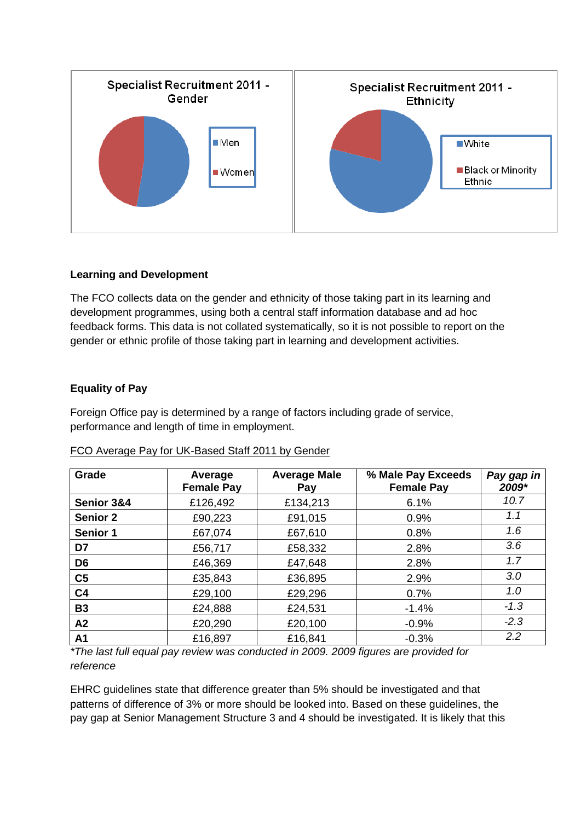

## **Learning and Development**

The FCO collects data on the gender and ethnicity of those taking part in its learning and development programmes, using both a central staff information database and ad hoc feedback forms. This data is not collated systematically, so it is not possible to report on the gender or ethnic profile of those taking part in learning and development activities.

## **Equality of Pay**

Foreign Office pay is determined by a range of factors including grade of service, performance and length of time in employment.

| Grade           | Average<br><b>Female Pay</b> | <b>Average Male</b><br>Pay | % Male Pay Exceeds<br><b>Female Pay</b> | Pay gap in<br>2009* |
|-----------------|------------------------------|----------------------------|-----------------------------------------|---------------------|
| Senior 3&4      | £126,492                     | £134,213                   | 6.1%                                    | 10.7                |
| <b>Senior 2</b> | £90,223                      | £91,015                    | 0.9%                                    | 1.1                 |
| <b>Senior 1</b> | £67,074                      | £67,610                    | 0.8%                                    | 1.6                 |
| D7              | £56,717                      | £58,332                    | 2.8%                                    | 3.6                 |
| D <sub>6</sub>  | £46,369                      | £47,648                    | 2.8%                                    | 1.7                 |
| C <sub>5</sub>  | £35,843                      | £36,895                    | 2.9%                                    | 3.0                 |
| C <sub>4</sub>  | £29,100                      | £29,296                    | 0.7%                                    | 1.0                 |
| <b>B3</b>       | £24,888                      | £24,531                    | $-1.4%$                                 | $-1.3$              |
| A2              | £20,290                      | £20,100                    | $-0.9%$                                 | $-2.3$              |
| A1              | £16,897                      | £16,841                    | $-0.3%$                                 | 2.2                 |

|  | FCO Average Pay for UK-Based Staff 2011 by Gender |  |  |  |
|--|---------------------------------------------------|--|--|--|
|--|---------------------------------------------------|--|--|--|

*\*The last full equal pay review was conducted in 2009. 2009 figures are provided for reference*

EHRC guidelines state that difference greater than 5% should be investigated and that patterns of difference of 3% or more should be looked into. Based on these guidelines, the pay gap at Senior Management Structure 3 and 4 should be investigated. It is likely that this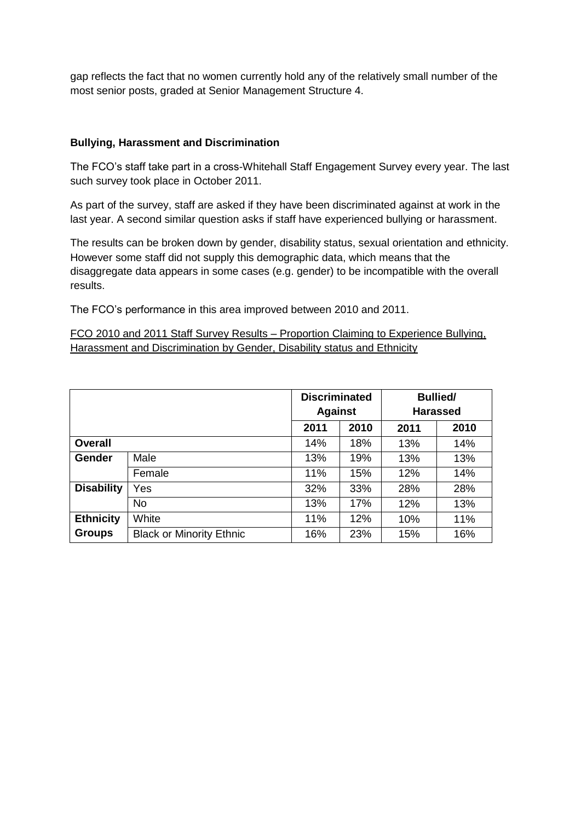gap reflects the fact that no women currently hold any of the relatively small number of the most senior posts, graded at Senior Management Structure 4.

### **Bullying, Harassment and Discrimination**

The FCO's staff take part in a cross-Whitehall Staff Engagement Survey every year. The last such survey took place in October 2011.

As part of the survey, staff are asked if they have been discriminated against at work in the last year. A second similar question asks if staff have experienced bullying or harassment.

The results can be broken down by gender, disability status, sexual orientation and ethnicity. However some staff did not supply this demographic data, which means that the disaggregate data appears in some cases (e.g. gender) to be incompatible with the overall results.

The FCO's performance in this area improved between 2010 and 2011.

FCO 2010 and 2011 Staff Survey Results – Proportion Claiming to Experience Bullying, Harassment and Discrimination by Gender, Disability status and Ethnicity

|                   |                                 | <b>Discriminated</b><br><b>Against</b> |      | <b>Bullied/</b><br><b>Harassed</b> |      |
|-------------------|---------------------------------|----------------------------------------|------|------------------------------------|------|
|                   |                                 |                                        |      |                                    |      |
|                   |                                 | 2011                                   | 2010 | 2011                               | 2010 |
| <b>Overall</b>    |                                 | 14%                                    | 18%  | 13%                                | 14%  |
| <b>Gender</b>     | Male                            | 13%                                    | 19%  | 13%                                | 13%  |
|                   | Female                          | 11%                                    | 15%  | 12%                                | 14%  |
| <b>Disability</b> | Yes                             | 32%                                    | 33%  | 28%                                | 28%  |
|                   | <b>No</b>                       | 13%                                    | 17%  | 12%                                | 13%  |
| <b>Ethnicity</b>  | White                           | 11%                                    | 12%  | 10%                                | 11%  |
| <b>Groups</b>     | <b>Black or Minority Ethnic</b> | 16%                                    | 23%  | 15%                                | 16%  |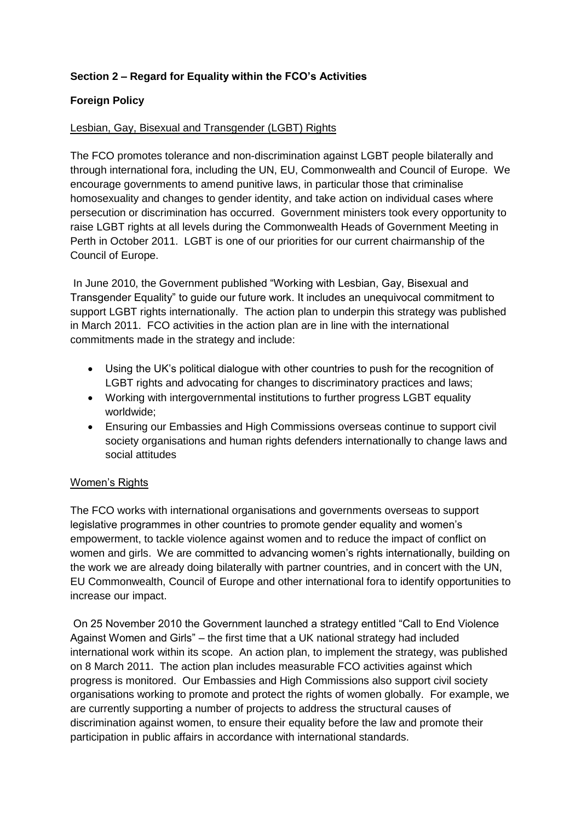# **Section 2 – Regard for Equality within the FCO's Activities**

## **Foreign Policy**

### Lesbian, Gay, Bisexual and Transgender (LGBT) Rights

The FCO promotes tolerance and non-discrimination against LGBT people bilaterally and through international fora, including the UN, EU, Commonwealth and Council of Europe. We encourage governments to amend punitive laws, in particular those that criminalise homosexuality and changes to gender identity, and take action on individual cases where persecution or discrimination has occurred. Government ministers took every opportunity to raise LGBT rights at all levels during the Commonwealth Heads of Government Meeting in Perth in October 2011. LGBT is one of our priorities for our current chairmanship of the Council of Europe.

In June 2010, the Government published "Working with Lesbian, Gay, Bisexual and Transgender Equality" to guide our future work. It includes an unequivocal commitment to support LGBT rights internationally. The action plan to underpin this strategy was published in March 2011. FCO activities in the action plan are in line with the international commitments made in the strategy and include:

- Using the UK's political dialogue with other countries to push for the recognition of LGBT rights and advocating for changes to discriminatory practices and laws;
- Working with intergovernmental institutions to further progress LGBT equality worldwide;
- Ensuring our Embassies and High Commissions overseas continue to support civil society organisations and human rights defenders internationally to change laws and social attitudes

## Women's Rights

The FCO works with international organisations and governments overseas to support legislative programmes in other countries to promote gender equality and women's empowerment, to tackle violence against women and to reduce the impact of conflict on women and girls. We are committed to advancing women's rights internationally, building on the work we are already doing bilaterally with partner countries, and in concert with the UN, EU Commonwealth, Council of Europe and other international fora to identify opportunities to increase our impact.

On 25 November 2010 the Government launched a strategy entitled "Call to End Violence Against Women and Girls" – the first time that a UK national strategy had included international work within its scope. An action plan, to implement the strategy, was published on 8 March 2011. The action plan includes measurable FCO activities against which progress is monitored. Our Embassies and High Commissions also support civil society organisations working to promote and protect the rights of women globally. For example, we are currently supporting a number of projects to address the structural causes of discrimination against women, to ensure their equality before the law and promote their participation in public affairs in accordance with international standards.